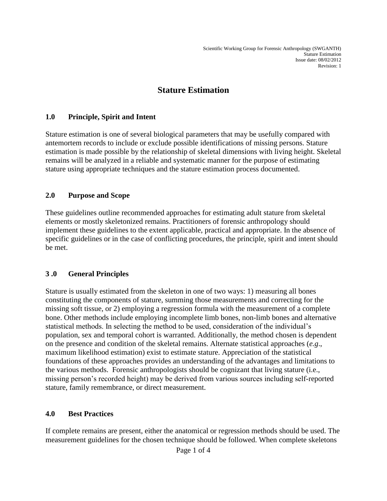# **Stature Estimation**

### **1.0 Principle, Spirit and Intent**

Stature estimation is one of several biological parameters that may be usefully compared with antemortem records to include or exclude possible identifications of missing persons. Stature estimation is made possible by the relationship of skeletal dimensions with living height. Skeletal remains will be analyzed in a reliable and systematic manner for the purpose of estimating stature using appropriate techniques and the stature estimation process documented.

### **2.0 Purpose and Scope**

These guidelines outline recommended approaches for estimating adult stature from skeletal elements or mostly skeletonized remains. Practitioners of forensic anthropology should implement these guidelines to the extent applicable, practical and appropriate. In the absence of specific guidelines or in the case of conflicting procedures, the principle, spirit and intent should be met.

### **3 .0 General Principles**

Stature is usually estimated from the skeleton in one of two ways: 1) measuring all bones constituting the components of stature, summing those measurements and correcting for the missing soft tissue, or 2) employing a regression formula with the measurement of a complete bone. Other methods include employing incomplete limb bones, non-limb bones and alternative statistical methods. In selecting the method to be used, consideration of the individual's population, sex and temporal cohort is warranted. Additionally, the method chosen is dependent on the presence and condition of the skeletal remains. Alternate statistical approaches (*e.g*., maximum likelihood estimation) exist to estimate stature. Appreciation of the statistical foundations of these approaches provides an understanding of the advantages and limitations to the various methods. Forensic anthropologists should be cognizant that living stature (i.e., missing person's recorded height) may be derived from various sources including self-reported stature, family remembrance, or direct measurement.

#### **4.0 Best Practices**

If complete remains are present, either the anatomical or regression methods should be used. The measurement guidelines for the chosen technique should be followed. When complete skeletons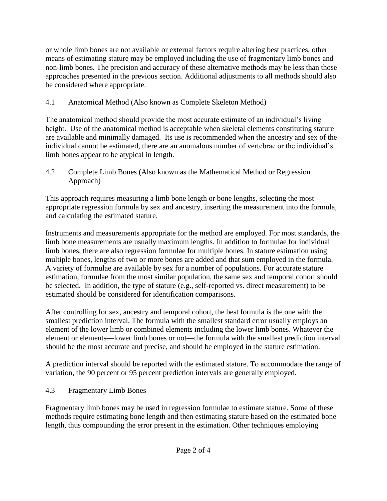or whole limb bones are not available or external factors require altering best practices, other means of estimating stature may be employed including the use of fragmentary limb bones and non-limb bones. The precision and accuracy of these alternative methods may be less than those approaches presented in the previous section. Additional adjustments to all methods should also be considered where appropriate.

4.1 Anatomical Method (Also known as Complete Skeleton Method)

The anatomical method should provide the most accurate estimate of an individual's living height. Use of the anatomical method is acceptable when skeletal elements constituting stature are available and minimally damaged. Its use is recommended when the ancestry and sex of the individual cannot be estimated, there are an anomalous number of vertebrae or the individual's limb bones appear to be atypical in length.

4.2 Complete Limb Bones (Also known as the Mathematical Method or Regression Approach)

This approach requires measuring a limb bone length or bone lengths, selecting the most appropriate regression formula by sex and ancestry, inserting the measurement into the formula, and calculating the estimated stature.

Instruments and measurements appropriate for the method are employed. For most standards, the limb bone measurements are usually maximum lengths. In addition to formulae for individual limb bones, there are also regression formulae for multiple bones. In stature estimation using multiple bones, lengths of two or more bones are added and that sum employed in the formula. A variety of formulae are available by sex for a number of populations. For accurate stature estimation, formulae from the most similar population, the same sex and temporal cohort should be selected. In addition, the type of stature (e.g., self-reported vs. direct measurement) to be estimated should be considered for identification comparisons.

After controlling for sex, ancestry and temporal cohort, the best formula is the one with the smallest prediction interval. The formula with the smallest standard error usually employs an element of the lower limb or combined elements including the lower limb bones. Whatever the element or elements—lower limb bones or not—the formula with the smallest prediction interval should be the most accurate and precise, and should be employed in the stature estimation.

A prediction interval should be reported with the estimated stature. To accommodate the range of variation, the 90 percent or 95 percent prediction intervals are generally employed.

# 4.3 Fragmentary Limb Bones

Fragmentary limb bones may be used in regression formulae to estimate stature. Some of these methods require estimating bone length and then estimating stature based on the estimated bone length, thus compounding the error present in the estimation. Other techniques employing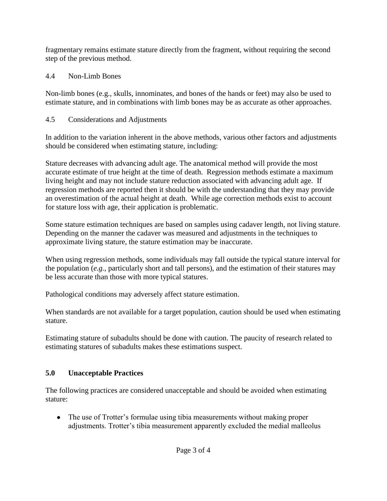fragmentary remains estimate stature directly from the fragment, without requiring the second step of the previous method.

### 4.4 Non-Limb Bones

Non-limb bones (e.g., skulls, innominates, and bones of the hands or feet) may also be used to estimate stature, and in combinations with limb bones may be as accurate as other approaches.

### 4.5 Considerations and Adjustments

In addition to the variation inherent in the above methods, various other factors and adjustments should be considered when estimating stature, including:

Stature decreases with advancing adult age. The anatomical method will provide the most accurate estimate of true height at the time of death. Regression methods estimate a maximum living height and may not include stature reduction associated with advancing adult age. If regression methods are reported then it should be with the understanding that they may provide an overestimation of the actual height at death. While age correction methods exist to account for stature loss with age, their application is problematic.

Some stature estimation techniques are based on samples using cadaver length, not living stature. Depending on the manner the cadaver was measured and adjustments in the techniques to approximate living stature, the stature estimation may be inaccurate.

When using regression methods, some individuals may fall outside the typical stature interval for the population (*e.g.*, particularly short and tall persons), and the estimation of their statures may be less accurate than those with more typical statures.

Pathological conditions may adversely affect stature estimation.

When standards are not available for a target population, caution should be used when estimating stature.

Estimating stature of subadults should be done with caution. The paucity of research related to estimating statures of subadults makes these estimations suspect.

# **5.0 Unacceptable Practices**

The following practices are considered unacceptable and should be avoided when estimating stature:

The use of Trotter's formulae using tibia measurements without making proper adjustments. Trotter's tibia measurement apparently excluded the medial malleolus